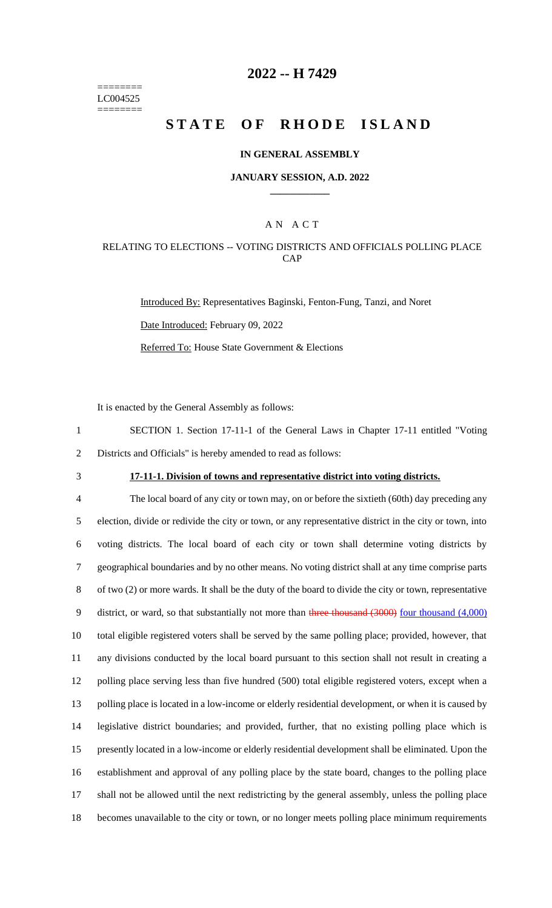======== LC004525 ========

## **2022 -- H 7429**

# **STATE OF RHODE ISLAND**

#### **IN GENERAL ASSEMBLY**

#### **JANUARY SESSION, A.D. 2022 \_\_\_\_\_\_\_\_\_\_\_\_**

### A N A C T

#### RELATING TO ELECTIONS -- VOTING DISTRICTS AND OFFICIALS POLLING PLACE CAP

Introduced By: Representatives Baginski, Fenton-Fung, Tanzi, and Noret Date Introduced: February 09, 2022 Referred To: House State Government & Elections

It is enacted by the General Assembly as follows:

1 SECTION 1. Section 17-11-1 of the General Laws in Chapter 17-11 entitled "Voting 2 Districts and Officials" is hereby amended to read as follows:

# 3 **17-11-1. Division of towns and representative district into voting districts.**

 The local board of any city or town may, on or before the sixtieth (60th) day preceding any election, divide or redivide the city or town, or any representative district in the city or town, into voting districts. The local board of each city or town shall determine voting districts by geographical boundaries and by no other means. No voting district shall at any time comprise parts of two (2) or more wards. It shall be the duty of the board to divide the city or town, representative 9 district, or ward, so that substantially not more than three thousand (3000) four thousand (4,000) total eligible registered voters shall be served by the same polling place; provided, however, that any divisions conducted by the local board pursuant to this section shall not result in creating a polling place serving less than five hundred (500) total eligible registered voters, except when a polling place is located in a low-income or elderly residential development, or when it is caused by legislative district boundaries; and provided, further, that no existing polling place which is presently located in a low-income or elderly residential development shall be eliminated. Upon the establishment and approval of any polling place by the state board, changes to the polling place shall not be allowed until the next redistricting by the general assembly, unless the polling place becomes unavailable to the city or town, or no longer meets polling place minimum requirements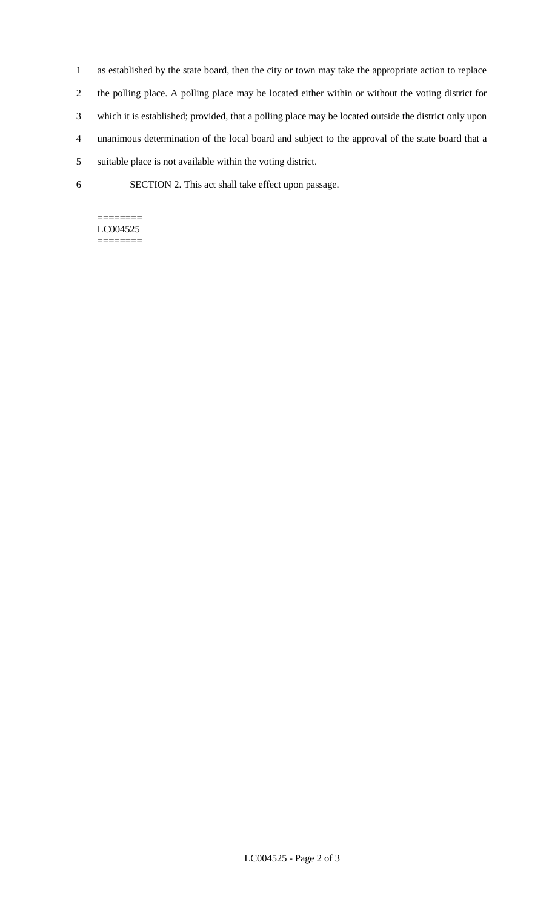- 1 as established by the state board, then the city or town may take the appropriate action to replace 2 the polling place. A polling place may be located either within or without the voting district for 3 which it is established; provided, that a polling place may be located outside the district only upon
- 4 unanimous determination of the local board and subject to the approval of the state board that a
- 5 suitable place is not available within the voting district.
- 6 SECTION 2. This act shall take effect upon passage.

### ======== LC004525

========